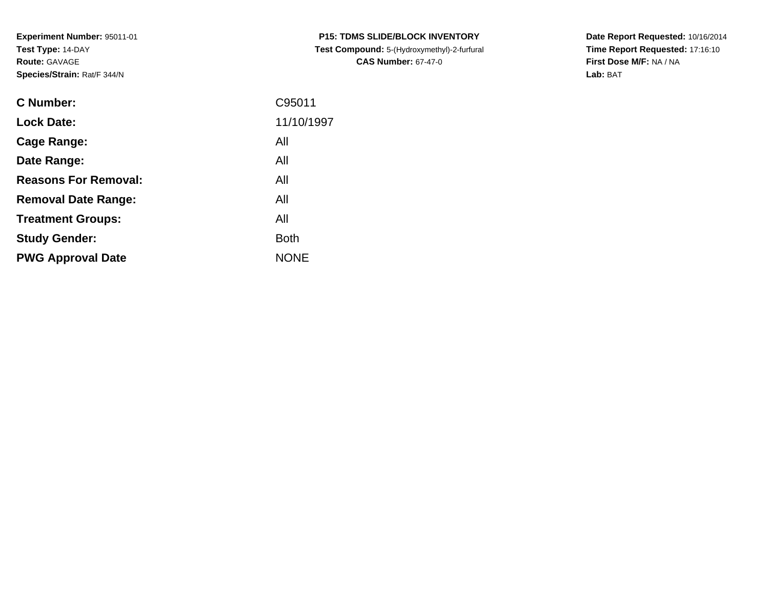**Experiment Number:** 95011-01**Test Type:** 14-DAY**Route:** GAVAGE**Species/Strain:** Rat/F 344/N

| <b>C Number:</b>            | C95011      |
|-----------------------------|-------------|
| <b>Lock Date:</b>           | 11/10/1997  |
| <b>Cage Range:</b>          | All         |
| Date Range:                 | All         |
| <b>Reasons For Removal:</b> | All         |
| <b>Removal Date Range:</b>  | All         |
| <b>Treatment Groups:</b>    | All         |
| <b>Study Gender:</b>        | <b>Both</b> |
| <b>PWG Approval Date</b>    | <b>NONE</b> |
|                             |             |

**P15: TDMS SLIDE/BLOCK INVENTORY Test Compound:** 5-(Hydroxymethyl)-2-furfural **CAS Number:** 67-47-0

**Date Report Requested:** 10/16/2014 **Time Report Requested:** 17:16:10**First Dose M/F:** NA / NA**Lab:** BAT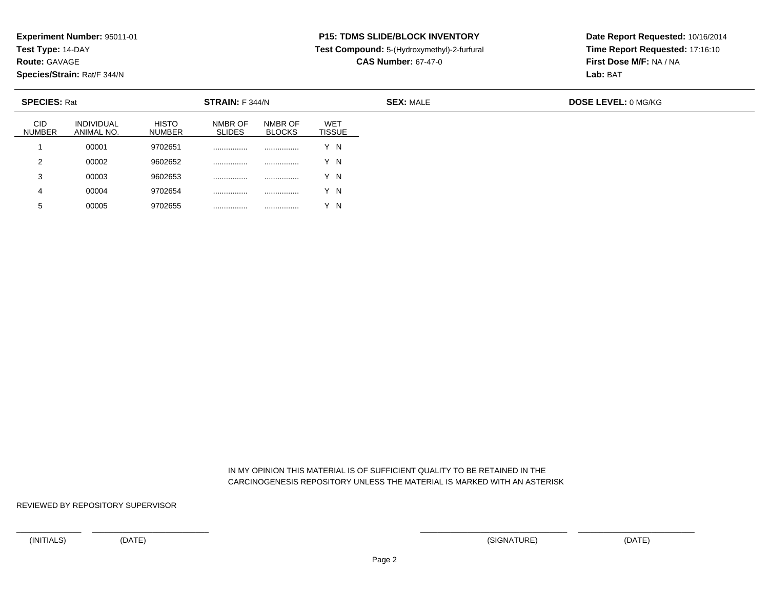**Test Type:** 14-DAY

**Route:** GAVAGE

**Species/Strain:** Rat/F 344/N

# **P15: TDMS SLIDE/BLOCK INVENTORY**

**Test Compound:** 5-(Hydroxymethyl)-2-furfural

**CAS Number:** 67-47-0

**Date Report Requested:** 10/16/2014**Time Report Requested:** 17:16:10**First Dose M/F:** NA / NA**Lab:** BAT

| <b>SPECIES: Rat</b>         |                                 |                        | <b>STRAIN:</b> F 344/N   |                          |                             | <b>SEX: MALE</b> | <b>DOSE LEVEL: 0 MG/KG</b> |
|-----------------------------|---------------------------------|------------------------|--------------------------|--------------------------|-----------------------------|------------------|----------------------------|
| <b>CID</b><br><b>NUMBER</b> | <b>INDIVIDUAL</b><br>ANIMAL NO. | <b>HISTO</b><br>NUMBER | NMBR OF<br><b>SLIDES</b> | NMBR OF<br><b>BLOCKS</b> | <b>WET</b><br><b>TISSUE</b> |                  |                            |
|                             | 00001                           | 9702651                | .                        |                          | Y N                         |                  |                            |
| 2                           | 00002                           | 9602652                | .                        |                          | Y N                         |                  |                            |
| 3                           | 00003                           | 9602653                | .                        |                          | Y N                         |                  |                            |
| 4                           | 00004                           | 9702654                | .                        |                          | Y N                         |                  |                            |
| 5                           | 00005                           | 9702655                | .                        |                          | $\overline{N}$              |                  |                            |

 IN MY OPINION THIS MATERIAL IS OF SUFFICIENT QUALITY TO BE RETAINED IN THECARCINOGENESIS REPOSITORY UNLESS THE MATERIAL IS MARKED WITH AN ASTERISK

REVIEWED BY REPOSITORY SUPERVISOR

<sup>00005</sup> <sup>9702655</sup> ................ ................ Y N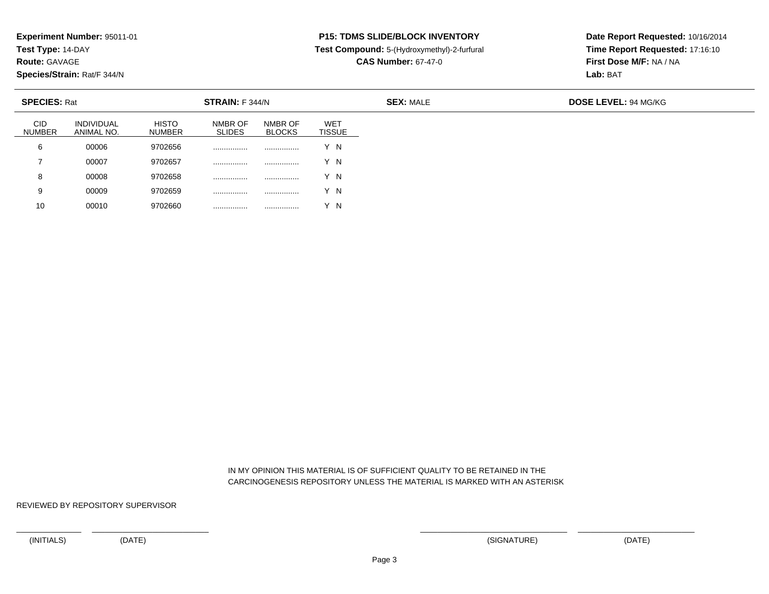**Test Type:** 14-DAY

**Route:** GAVAGE

10

**Species/Strain:** Rat/F 344/N

## **P15: TDMS SLIDE/BLOCK INVENTORY**

**Test Compound:** 5-(Hydroxymethyl)-2-furfural

**CAS Number:** 67-47-0

**Date Report Requested:** 10/16/2014**Time Report Requested:** 17:16:10**First Dose M/F:** NA / NA**Lab:** BAT

| <b>SPECIES: Rat</b>         |                                 |                               | STRAIN: F 344/N          |                          |                             |  |  |
|-----------------------------|---------------------------------|-------------------------------|--------------------------|--------------------------|-----------------------------|--|--|
| <b>CID</b><br><b>NUMBER</b> | <b>INDIVIDUAL</b><br>ANIMAL NO. | <b>HISTO</b><br><b>NUMBER</b> | NMBR OF<br><b>SLIDES</b> | NMBR OF<br><b>BLOCKS</b> | <b>WET</b><br><b>TISSUE</b> |  |  |
| 6                           | 00006                           | 9702656                       | .                        | .                        | v<br>΄Ν                     |  |  |
|                             | 00007                           | 9702657                       | .                        |                          | ΄Ν                          |  |  |
| 8                           | 00008                           | 9702658                       | .                        | .                        | ΄N                          |  |  |
| 9                           | 00009                           | 9702659                       | .                        | .                        | ΄ Ν                         |  |  |

 IN MY OPINION THIS MATERIAL IS OF SUFFICIENT QUALITY TO BE RETAINED IN THECARCINOGENESIS REPOSITORY UNLESS THE MATERIAL IS MARKED WITH AN ASTERISK

REVIEWED BY REPOSITORY SUPERVISOR

<sup>00010</sup> <sup>9702660</sup> ................ ................ Y N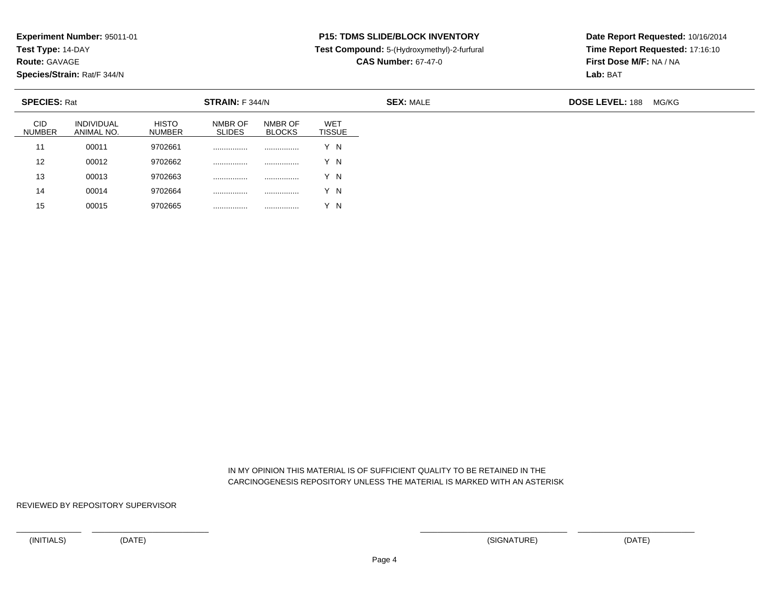**Test Type:** 14-DAY

**Route:** GAVAGE

15

**Species/Strain:** Rat/F 344/N

#### **P15: TDMS SLIDE/BLOCK INVENTORY**

**Test Compound:** 5-(Hydroxymethyl)-2-furfural

**CAS Number:** 67-47-0

**Date Report Requested:** 10/16/2014**Time Report Requested:** 17:16:10**First Dose M/F:** NA / NA**Lab:** BAT

| <b>SPECIES: Rat</b>         |                                 |                               | STRAIN: F 344/N          |                          |                             | <b>SEX: MALE</b> | <b>DOSE LEVEL: 188</b> | MG/KG |
|-----------------------------|---------------------------------|-------------------------------|--------------------------|--------------------------|-----------------------------|------------------|------------------------|-------|
| <b>CID</b><br><b>NUMBER</b> | <b>INDIVIDUAL</b><br>ANIMAL NO. | <b>HISTO</b><br><b>NUMBER</b> | NMBR OF<br><b>SLIDES</b> | NMBR OF<br><b>BLOCKS</b> | <b>WET</b><br><b>TISSUE</b> |                  |                        |       |
| $1^{\circ}$                 | 00011                           | 9702661                       |                          |                          | Y N                         |                  |                        |       |
| 12                          | 00012                           | 9702662                       |                          |                          | Y N                         |                  |                        |       |
| 13                          | 00013                           | 9702663                       |                          | .                        | Y N                         |                  |                        |       |
| 14                          | 00014                           | 9702664                       | .                        | .                        | Y N                         |                  |                        |       |

 IN MY OPINION THIS MATERIAL IS OF SUFFICIENT QUALITY TO BE RETAINED IN THECARCINOGENESIS REPOSITORY UNLESS THE MATERIAL IS MARKED WITH AN ASTERISK

REVIEWED BY REPOSITORY SUPERVISOR

<sup>00015</sup> <sup>9702665</sup> ................ ................ Y N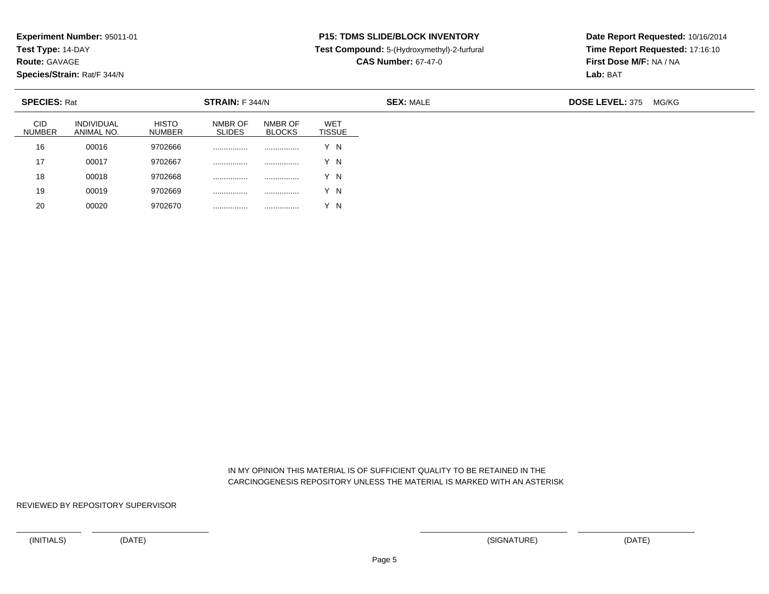**Test Type:** 14-DAY

**Route:** GAVAGE

20

**Species/Strain:** Rat/F 344/N

### **P15: TDMS SLIDE/BLOCK INVENTORY**

**Test Compound:** 5-(Hydroxymethyl)-2-furfural

**CAS Number:** 67-47-0

**Date Report Requested:** 10/16/2014**Time Report Requested:** 17:16:10**First Dose M/F:** NA / NA**Lab:** BAT

| <b>SPECIES: Rat</b>         |                                 | STRAIN: F 344/N               |                          | <b>SEX: MALE</b>         |                             |  | <b>DOSE LEVEL: 375</b> | MG/KG |
|-----------------------------|---------------------------------|-------------------------------|--------------------------|--------------------------|-----------------------------|--|------------------------|-------|
| <b>CID</b><br><b>NUMBER</b> | <b>INDIVIDUAL</b><br>ANIMAL NO. | <b>HISTO</b><br><b>NUMBER</b> | NMBR OF<br><b>SLIDES</b> | NMBR OF<br><b>BLOCKS</b> | <b>WET</b><br><b>TISSUE</b> |  |                        |       |
| 16                          | 00016                           | 9702666                       |                          | .                        | Y N                         |  |                        |       |
| 17                          | 00017                           | 9702667                       |                          |                          | Y N                         |  |                        |       |
| 18                          | 00018                           | 9702668                       |                          |                          | Y N                         |  |                        |       |
| 19                          | 00019                           | 9702669                       | .                        | .                        | Y N                         |  |                        |       |

 IN MY OPINION THIS MATERIAL IS OF SUFFICIENT QUALITY TO BE RETAINED IN THECARCINOGENESIS REPOSITORY UNLESS THE MATERIAL IS MARKED WITH AN ASTERISK

REVIEWED BY REPOSITORY SUPERVISOR

<sup>00020</sup> <sup>9702670</sup> ................ ................ Y N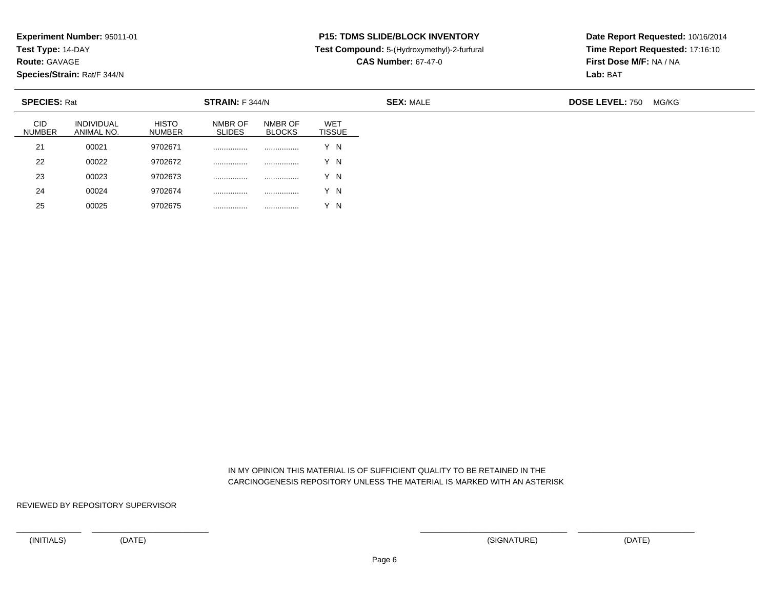**Test Type:** 14-DAY

**Route:** GAVAGE

25

**Species/Strain:** Rat/F 344/N

## **P15: TDMS SLIDE/BLOCK INVENTORY**

**Test Compound:** 5-(Hydroxymethyl)-2-furfural

**CAS Number:** 67-47-0

**Date Report Requested:** 10/16/2014**Time Report Requested:** 17:16:10**First Dose M/F:** NA / NA**Lab:** BAT

| <b>SPECIES: Rat</b>         |                                 |                               | STRAIN: F 344/N          |                          |                             | <b>SEX: MALE</b> | <b>DOSE LEVEL: 750</b><br>MG/KG |
|-----------------------------|---------------------------------|-------------------------------|--------------------------|--------------------------|-----------------------------|------------------|---------------------------------|
| <b>CID</b><br><b>NUMBER</b> | <b>INDIVIDUAL</b><br>ANIMAL NO. | <b>HISTO</b><br><b>NUMBER</b> | NMBR OF<br><b>SLIDES</b> | NMBR OF<br><b>BLOCKS</b> | <b>WET</b><br><b>TISSUE</b> |                  |                                 |
| 21                          | 00021                           | 9702671                       |                          |                          | Y N                         |                  |                                 |
| 22                          | 00022                           | 9702672                       |                          |                          | Y N                         |                  |                                 |
| 23                          | 00023                           | 9702673                       |                          | .                        | Y N                         |                  |                                 |
| 24                          | 00024                           | 9702674                       | .                        | .                        | Y N                         |                  |                                 |

 IN MY OPINION THIS MATERIAL IS OF SUFFICIENT QUALITY TO BE RETAINED IN THECARCINOGENESIS REPOSITORY UNLESS THE MATERIAL IS MARKED WITH AN ASTERISK

REVIEWED BY REPOSITORY SUPERVISOR

<sup>00025</sup> <sup>9702675</sup> ................ ................ Y N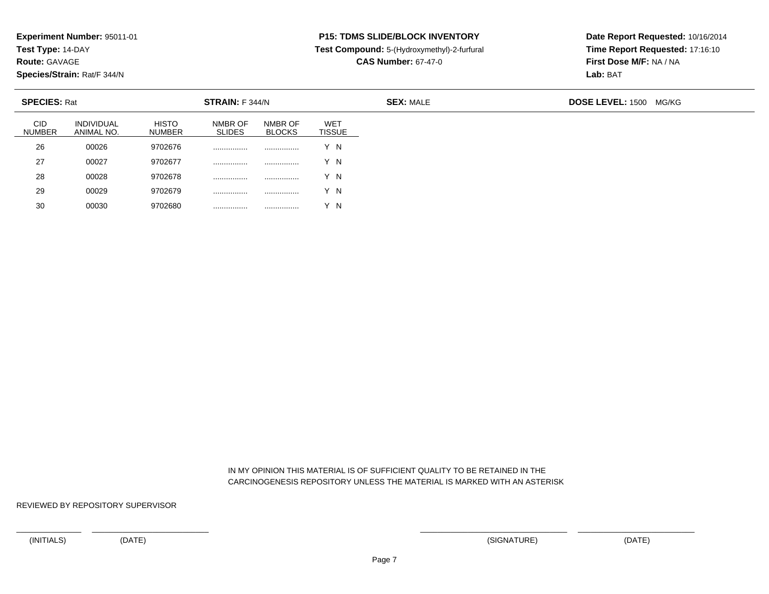**Test Type:** 14-DAY

**Route:** GAVAGE

30

**Species/Strain:** Rat/F 344/N

### **P15: TDMS SLIDE/BLOCK INVENTORY**

**Test Compound:** 5-(Hydroxymethyl)-2-furfural

**CAS Number:** 67-47-0

**Date Report Requested:** 10/16/2014**Time Report Requested:** 17:16:10**First Dose M/F:** NA / NA**Lab:** BAT

| <b>SPECIES: Rat</b>         |                                 |                               | STRAIN: F 344/N          |                          |                      | <b>SEX: MALE</b> | <b>DOSE LEVEL: 1500 MG/KG</b> |
|-----------------------------|---------------------------------|-------------------------------|--------------------------|--------------------------|----------------------|------------------|-------------------------------|
| <b>CID</b><br><b>NUMBER</b> | <b>INDIVIDUAL</b><br>ANIMAL NO. | <b>HISTO</b><br><b>NUMBER</b> | NMBR OF<br><b>SLIDES</b> | NMBR OF<br><b>BLOCKS</b> | WET<br><b>TISSUE</b> |                  |                               |
| 26                          | 00026                           | 9702676                       |                          |                          | Y N                  |                  |                               |
| 27                          | 00027                           | 9702677                       |                          |                          | Y N                  |                  |                               |
| 28                          | 00028                           | 9702678                       |                          |                          | Y N                  |                  |                               |
| 29                          | 00029                           | 9702679                       |                          |                          | Y N                  |                  |                               |

 IN MY OPINION THIS MATERIAL IS OF SUFFICIENT QUALITY TO BE RETAINED IN THECARCINOGENESIS REPOSITORY UNLESS THE MATERIAL IS MARKED WITH AN ASTERISK

REVIEWED BY REPOSITORY SUPERVISOR

<sup>00030</sup> <sup>9702680</sup> ................ ................ Y N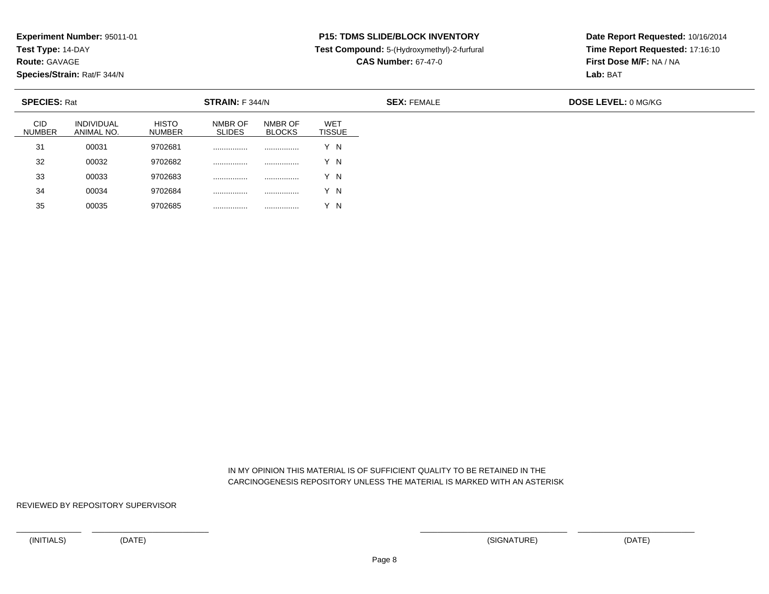**Test Type:** 14-DAY

**Route:** GAVAGE

35

**Species/Strain:** Rat/F 344/N

## **P15: TDMS SLIDE/BLOCK INVENTORY**

**Test Compound:** 5-(Hydroxymethyl)-2-furfural

**CAS Number:** 67-47-0

**Date Report Requested:** 10/16/2014**Time Report Requested:** 17:16:10**First Dose M/F:** NA / NA**Lab:** BAT

| <b>SPECIES: Rat</b>         |                                 |                               | STRAIN: F 344/N          |                          |                             |  |  |
|-----------------------------|---------------------------------|-------------------------------|--------------------------|--------------------------|-----------------------------|--|--|
| <b>CID</b><br><b>NUMBER</b> | <b>INDIVIDUAL</b><br>ANIMAL NO. | <b>HISTO</b><br><b>NUMBER</b> | NMBR OF<br><b>SLIDES</b> | NMBR OF<br><b>BLOCKS</b> | <b>WET</b><br><b>TISSUE</b> |  |  |
| 31                          | 00031                           | 9702681                       |                          | .                        | Y N                         |  |  |
| 32                          | 00032                           | 9702682                       | .                        |                          | Y N                         |  |  |
| 33                          | 00033                           | 9702683                       |                          | .                        | Y N                         |  |  |
| 34                          | 00034                           | 9702684                       |                          | .                        | 'N                          |  |  |

 IN MY OPINION THIS MATERIAL IS OF SUFFICIENT QUALITY TO BE RETAINED IN THECARCINOGENESIS REPOSITORY UNLESS THE MATERIAL IS MARKED WITH AN ASTERISK

REVIEWED BY REPOSITORY SUPERVISOR

<sup>00035</sup> <sup>9702685</sup> ................ ................ Y N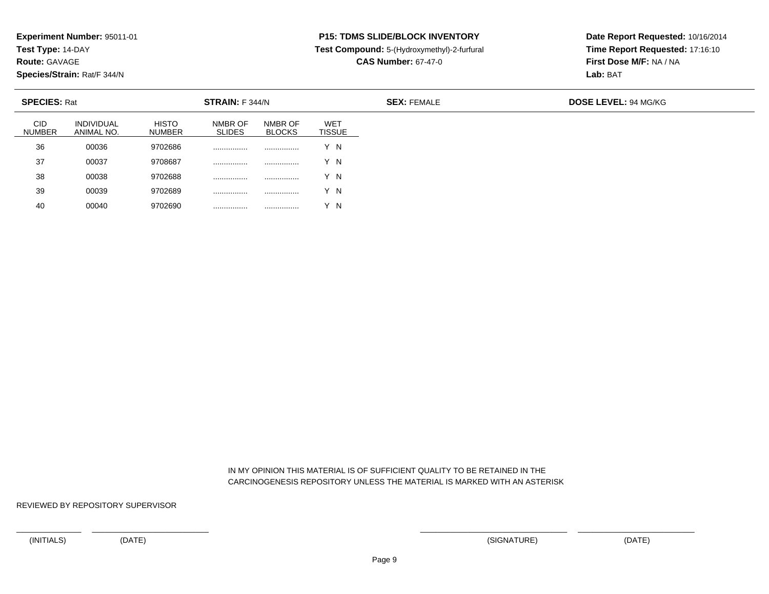**Test Type:** 14-DAY

**Route:** GAVAGE

**Species/Strain:** Rat/F 344/N

# **P15: TDMS SLIDE/BLOCK INVENTORY**

**Test Compound:** 5-(Hydroxymethyl)-2-furfural

**CAS Number:** 67-47-0

**Date Report Requested:** 10/16/2014**Time Report Requested:** 17:16:10**First Dose M/F:** NA / NA**Lab:** BAT

| <b>SPECIES: Rat</b>         |                                 |                        | STRAIN: F 344/N          |                          |                             | <b>SEX: FEMALE</b> | <b>DOSE LEVEL: 94 MG/KG</b> |
|-----------------------------|---------------------------------|------------------------|--------------------------|--------------------------|-----------------------------|--------------------|-----------------------------|
| <b>CID</b><br><b>NUMBER</b> | <b>INDIVIDUAL</b><br>ANIMAL NO. | <b>HISTO</b><br>NUMBER | NMBR OF<br><b>SLIDES</b> | NMBR OF<br><b>BLOCKS</b> | <b>WET</b><br><b>TISSUE</b> |                    |                             |
| 36                          | 00036                           | 9702686                |                          | .                        | Y N                         |                    |                             |
| 37                          | 00037                           | 9708687                |                          |                          | v<br>$^{\prime}$ N          |                    |                             |
| 38                          | 00038                           | 9702688                |                          |                          | ΄N                          |                    |                             |
| 39                          | 00039                           | 9702689                | .                        | .                        | Y N                         |                    |                             |
| 40                          | 00040                           | 9702690                | .                        | .                        | - N                         |                    |                             |

 IN MY OPINION THIS MATERIAL IS OF SUFFICIENT QUALITY TO BE RETAINED IN THECARCINOGENESIS REPOSITORY UNLESS THE MATERIAL IS MARKED WITH AN ASTERISK

REVIEWED BY REPOSITORY SUPERVISOR

<sup>00040</sup> <sup>9702690</sup> ................ ................ Y N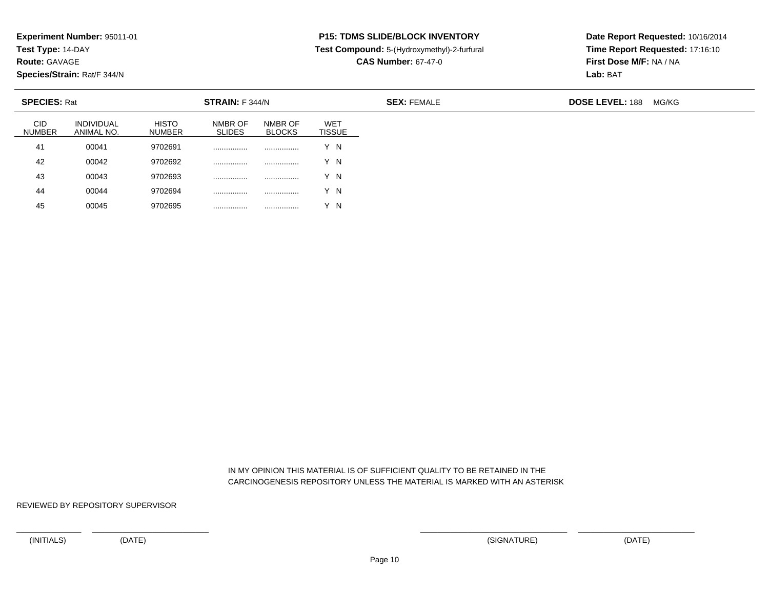**Test Type:** 14-DAY

**Route:** GAVAGE

45

**Species/Strain:** Rat/F 344/N

# **P15: TDMS SLIDE/BLOCK INVENTORY**

**Test Compound:** 5-(Hydroxymethyl)-2-furfural

**CAS Number:** 67-47-0

**Date Report Requested:** 10/16/2014**Time Report Requested:** 17:16:10**First Dose M/F:** NA / NA**Lab:** BAT

| <b>SPECIES: Rat</b><br>STRAIN: F 344/N |                                 |                               |                          |                          |                             |
|----------------------------------------|---------------------------------|-------------------------------|--------------------------|--------------------------|-----------------------------|
| <b>CID</b><br><b>NUMBER</b>            | <b>INDIVIDUAL</b><br>ANIMAL NO. | <b>HISTO</b><br><b>NUMBER</b> | NMBR OF<br><b>SLIDES</b> | NMBR OF<br><b>BLOCKS</b> | <b>WET</b><br><b>TISSUE</b> |
| 41                                     | 00041                           | 9702691                       |                          |                          | Y N                         |
| 42                                     | 00042                           | 9702692                       |                          |                          | Y N                         |
| 43                                     | 00043                           | 9702693                       |                          |                          | Y N                         |
| 44                                     | 00044                           | 9702694                       |                          |                          | N                           |

 IN MY OPINION THIS MATERIAL IS OF SUFFICIENT QUALITY TO BE RETAINED IN THECARCINOGENESIS REPOSITORY UNLESS THE MATERIAL IS MARKED WITH AN ASTERISK

REVIEWED BY REPOSITORY SUPERVISOR

<sup>00045</sup> <sup>9702695</sup> ................ ................ Y N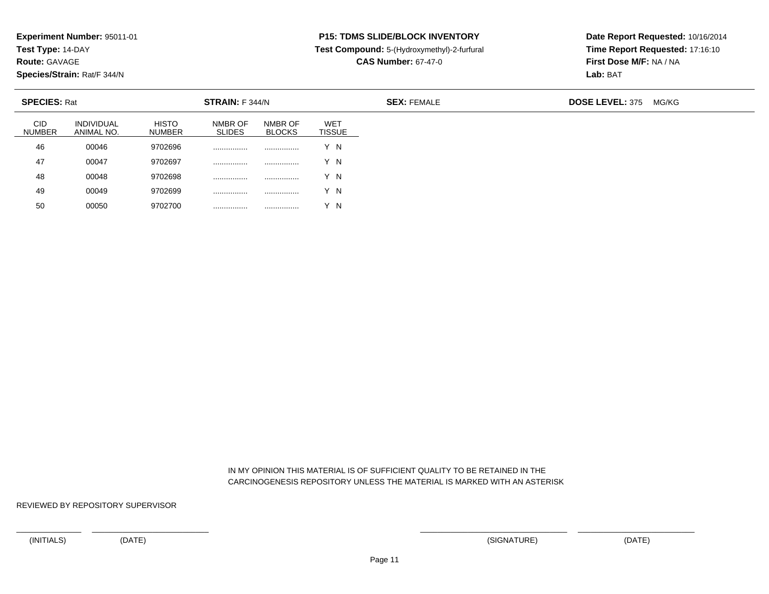**Test Type:** 14-DAY

**Route:** GAVAGE

50

**Species/Strain:** Rat/F 344/N

# **P15: TDMS SLIDE/BLOCK INVENTORY**

**Test Compound:** 5-(Hydroxymethyl)-2-furfural

**CAS Number:** 67-47-0

**Date Report Requested:** 10/16/2014**Time Report Requested:** 17:16:10**First Dose M/F:** NA / NA**Lab:** BAT

| <b>SPECIES: Rat</b>         |                                 |                               | STRAIN: F 344/N          |                          |                      | <b>SEX: FEMALE</b> | <b>DOSE LEVEL: 375</b> | MG/KG |
|-----------------------------|---------------------------------|-------------------------------|--------------------------|--------------------------|----------------------|--------------------|------------------------|-------|
| <b>CID</b><br><b>NUMBER</b> | <b>INDIVIDUAL</b><br>ANIMAL NO. | <b>HISTO</b><br><b>NUMBER</b> | NMBR OF<br><b>SLIDES</b> | NMBR OF<br><b>BLOCKS</b> | WET<br><b>TISSUE</b> |                    |                        |       |
| 46                          | 00046                           | 9702696                       |                          | .                        | Y N                  |                    |                        |       |
| 47                          | 00047                           | 9702697                       |                          |                          | Y N                  |                    |                        |       |
| 48                          | 00048                           | 9702698                       |                          |                          | Y N                  |                    |                        |       |
| 49                          | 00049                           | 9702699                       | .                        | .                        | Y N                  |                    |                        |       |

 IN MY OPINION THIS MATERIAL IS OF SUFFICIENT QUALITY TO BE RETAINED IN THECARCINOGENESIS REPOSITORY UNLESS THE MATERIAL IS MARKED WITH AN ASTERISK

REVIEWED BY REPOSITORY SUPERVISOR

<sup>00050</sup> <sup>9702700</sup> ................ ................ Y N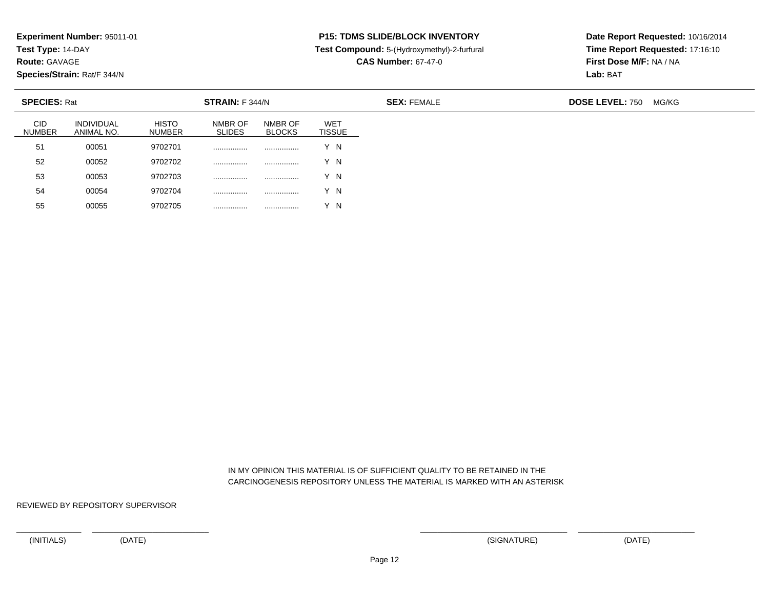**Test Type:** 14-DAY

**Route:** GAVAGE

55

**Species/Strain:** Rat/F 344/N

<sup>00055</sup> <sup>9702705</sup> ................ ................ Y N

# **P15: TDMS SLIDE/BLOCK INVENTORY**

**Test Compound:** 5-(Hydroxymethyl)-2-furfural

**CAS Number:** 67-47-0

**Date Report Requested:** 10/16/2014**Time Report Requested:** 17:16:10**First Dose M/F:** NA / NA**Lab:** BAT

| <b>SPECIES: Rat</b><br>STRAIN: F 344/N |                                 |                               |                          |                          |                             | <b>SEX: FEMALE</b> | <b>DOSE LEVEL: 750</b> |
|----------------------------------------|---------------------------------|-------------------------------|--------------------------|--------------------------|-----------------------------|--------------------|------------------------|
| <b>CID</b><br><b>NUMBER</b>            | <b>INDIVIDUAL</b><br>ANIMAL NO. | <b>HISTO</b><br><b>NUMBER</b> | NMBR OF<br><b>SLIDES</b> | NMBR OF<br><b>BLOCKS</b> | <b>WET</b><br><b>TISSUE</b> |                    |                        |
| 51                                     | 00051                           | 9702701                       | .                        |                          | Y N                         |                    |                        |
| 52                                     | 00052                           | 9702702                       | .                        |                          | Y N                         |                    |                        |
| 53                                     | 00053                           | 9702703                       | .                        |                          | Y N                         |                    |                        |
| 54                                     | 00054                           | 9702704                       | .                        |                          | Y N                         |                    |                        |

 IN MY OPINION THIS MATERIAL IS OF SUFFICIENT QUALITY TO BE RETAINED IN THECARCINOGENESIS REPOSITORY UNLESS THE MATERIAL IS MARKED WITH AN ASTERISK

REVIEWED BY REPOSITORY SUPERVISOR